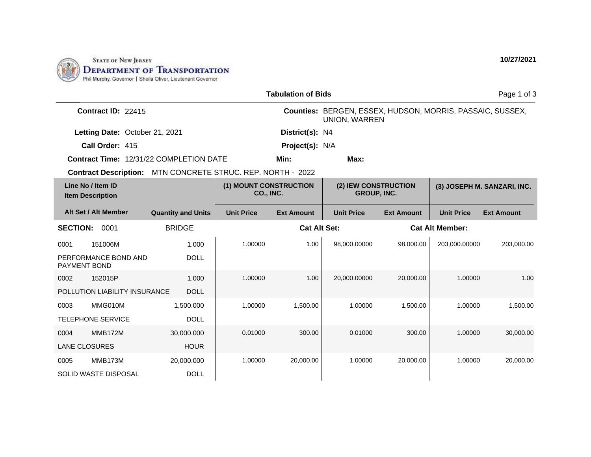

| <b>Tabulation of Bids</b>                                   |                           |                                     |                     |                                                                                   |                   |                             | Page 1 of 3       |
|-------------------------------------------------------------|---------------------------|-------------------------------------|---------------------|-----------------------------------------------------------------------------------|-------------------|-----------------------------|-------------------|
| Contract ID: 22415                                          |                           |                                     |                     | Counties: BERGEN, ESSEX, HUDSON, MORRIS, PASSAIC, SUSSEX,<br><b>UNION, WARREN</b> |                   |                             |                   |
| Letting Date: October 21, 2021                              |                           |                                     | District(s): N4     |                                                                                   |                   |                             |                   |
| Call Order: 415                                             |                           |                                     | Project(s): N/A     |                                                                                   |                   |                             |                   |
| Contract Time: 12/31/22 COMPLETION DATE                     |                           |                                     | Min:                | Max:                                                                              |                   |                             |                   |
| Contract Description: MTN CONCRETE STRUC. REP. NORTH - 2022 |                           |                                     |                     |                                                                                   |                   |                             |                   |
| Line No / Item ID<br><b>Item Description</b>                |                           | (1) MOUNT CONSTRUCTION<br>CO., INC. |                     | (2) IEW CONSTRUCTION<br><b>GROUP, INC.</b>                                        |                   | (3) JOSEPH M. SANZARI, INC. |                   |
| Alt Set / Alt Member                                        | <b>Quantity and Units</b> | <b>Unit Price</b>                   | <b>Ext Amount</b>   | <b>Unit Price</b>                                                                 | <b>Ext Amount</b> | <b>Unit Price</b>           | <b>Ext Amount</b> |
| <b>SECTION:</b><br>0001                                     | <b>BRIDGE</b>             |                                     | <b>Cat Alt Set:</b> |                                                                                   |                   | <b>Cat Alt Member:</b>      |                   |
| 151006M<br>0001                                             | 1.000                     | 1.00000                             | 1.00                | 98,000.00000                                                                      | 98,000.00         | 203,000.00000               | 203,000.00        |
| PERFORMANCE BOND AND<br>PAYMENT BOND                        | <b>DOLL</b>               |                                     |                     |                                                                                   |                   |                             |                   |
| 0002<br>152015P                                             | 1.000                     | 1.00000                             | 1.00                | 20,000.00000                                                                      | 20,000.00         | 1.00000                     | 1.00              |
| POLLUTION LIABILITY INSURANCE                               | <b>DOLL</b>               |                                     |                     |                                                                                   |                   |                             |                   |
| MMG010M<br>0003                                             | 1,500.000                 | 1.00000                             | 1,500.00            | 1.00000                                                                           | 1,500.00          | 1.00000                     | 1,500.00          |
| <b>TELEPHONE SERVICE</b>                                    | <b>DOLL</b>               |                                     |                     |                                                                                   |                   |                             |                   |
| MMB172M<br>0004                                             | 30,000.000                | 0.01000                             | 300.00              | 0.01000                                                                           | 300.00            | 1.00000                     | 30,000.00         |
| LANE CLOSURES                                               | <b>HOUR</b>               |                                     |                     |                                                                                   |                   |                             |                   |
| MMB173M<br>0005                                             | 20,000.000                | 1.00000                             | 20,000.00           | 1.00000                                                                           | 20,000.00         | 1.00000                     | 20,000.00         |
| <b>SOLID WASTE DISPOSAL</b>                                 | <b>DOLL</b>               |                                     |                     |                                                                                   |                   |                             |                   |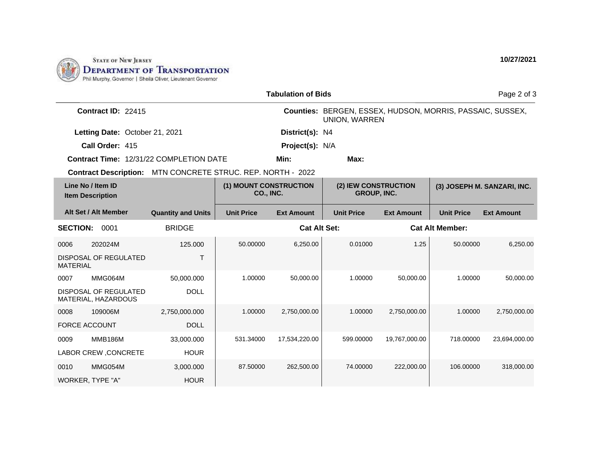

| <b>Tabulation of Bids</b><br>Page 2 of 3     |                                       |                                     |                   |                                                                                   |                   |                             |                   |  |  |
|----------------------------------------------|---------------------------------------|-------------------------------------|-------------------|-----------------------------------------------------------------------------------|-------------------|-----------------------------|-------------------|--|--|
| Contract ID: 22415                           |                                       |                                     |                   | Counties: BERGEN, ESSEX, HUDSON, MORRIS, PASSAIC, SUSSEX,<br><b>UNION, WARREN</b> |                   |                             |                   |  |  |
| Letting Date: October 21, 2021               | District(s): N4                       |                                     |                   |                                                                                   |                   |                             |                   |  |  |
| Call Order: 415                              |                                       |                                     |                   |                                                                                   | Project(s): N/A   |                             |                   |  |  |
| Contract Time: 12/31/22 COMPLETION DATE      |                                       |                                     | Min:              | Max:                                                                              |                   |                             |                   |  |  |
| <b>Contract Description:</b>                 | MTN CONCRETE STRUC. REP. NORTH - 2022 |                                     |                   |                                                                                   |                   |                             |                   |  |  |
| Line No / Item ID<br><b>Item Description</b> |                                       | (1) MOUNT CONSTRUCTION<br>CO., INC. |                   | (2) IEW CONSTRUCTION<br><b>GROUP, INC.</b>                                        |                   | (3) JOSEPH M. SANZARI, INC. |                   |  |  |
| Alt Set / Alt Member                         | <b>Quantity and Units</b>             | <b>Unit Price</b>                   | <b>Ext Amount</b> | <b>Unit Price</b>                                                                 | <b>Ext Amount</b> | <b>Unit Price</b>           | <b>Ext Amount</b> |  |  |
| <b>SECTION:</b><br>0001                      | <b>BRIDGE</b>                         |                                     |                   | <b>Cat Alt Set:</b><br><b>Cat Alt Member:</b>                                     |                   |                             |                   |  |  |
| 202024M<br>0006                              | 125.000                               | 50.00000                            | 6,250.00          | 0.01000                                                                           | 1.25              | 50.00000                    | 6,250.00          |  |  |
| DISPOSAL OF REGULATED<br><b>MATERIAL</b>     | T                                     |                                     |                   |                                                                                   |                   |                             |                   |  |  |
| MMG064M<br>0007                              | 50,000.000                            | 1.00000                             | 50,000.00         | 1.00000                                                                           | 50,000.00         | 1.00000                     | 50,000.00         |  |  |
| DISPOSAL OF REGULATED<br>MATERIAL, HAZARDOUS | <b>DOLL</b>                           |                                     |                   |                                                                                   |                   |                             |                   |  |  |
| 109006M<br>0008                              | 2,750,000.000                         | 1.00000                             | 2,750,000.00      | 1.00000                                                                           | 2,750,000.00      | 1.00000                     | 2,750,000.00      |  |  |
| <b>FORCE ACCOUNT</b>                         | <b>DOLL</b>                           |                                     |                   |                                                                                   |                   |                             |                   |  |  |
| <b>MMB186M</b><br>0009                       | 33,000.000                            | 531.34000                           | 17,534,220.00     | 599.00000                                                                         | 19,767,000.00     | 718.00000                   | 23,694,000.00     |  |  |
| LABOR CREW, CONCRETE                         | <b>HOUR</b>                           |                                     |                   |                                                                                   |                   |                             |                   |  |  |
| MMG054M<br>0010                              | 3,000.000                             | 87.50000                            | 262,500.00        | 74.00000                                                                          | 222,000.00        | 106.00000                   | 318,000.00        |  |  |
| WORKER, TYPE "A"                             | <b>HOUR</b>                           |                                     |                   |                                                                                   |                   |                             |                   |  |  |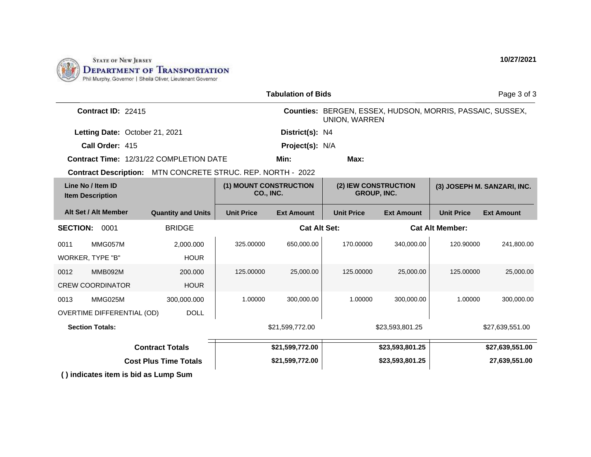

| <b>Tabulation of Bids</b>                                   |                           |                                     |                   |                                                                            |                   |                             | Page 3 of 3       |
|-------------------------------------------------------------|---------------------------|-------------------------------------|-------------------|----------------------------------------------------------------------------|-------------------|-----------------------------|-------------------|
| Contract ID: 22415                                          |                           |                                     |                   | Counties: BERGEN, ESSEX, HUDSON, MORRIS, PASSAIC, SUSSEX,<br>UNION, WARREN |                   |                             |                   |
| Letting Date: October 21, 2021                              |                           |                                     | District(s): N4   |                                                                            |                   |                             |                   |
| Call Order: 415                                             |                           |                                     | Project(s): N/A   |                                                                            |                   |                             |                   |
| <b>Contract Time: 12/31/22 COMPLETION DATE</b>              |                           | Min:                                | Max:              |                                                                            |                   |                             |                   |
| Contract Description: MTN CONCRETE STRUC. REP. NORTH - 2022 |                           |                                     |                   |                                                                            |                   |                             |                   |
| Line No / Item ID<br><b>Item Description</b>                |                           | (1) MOUNT CONSTRUCTION<br>CO., INC. |                   | (2) IEW CONSTRUCTION<br><b>GROUP, INC.</b>                                 |                   | (3) JOSEPH M. SANZARI, INC. |                   |
| Alt Set / Alt Member                                        | <b>Quantity and Units</b> | <b>Unit Price</b>                   | <b>Ext Amount</b> | <b>Unit Price</b>                                                          | <b>Ext Amount</b> | <b>Unit Price</b>           | <b>Ext Amount</b> |
| <b>SECTION:</b><br>0001                                     | <b>BRIDGE</b>             | <b>Cat Alt Set:</b>                 |                   |                                                                            |                   | <b>Cat Alt Member:</b>      |                   |
| MMG057M<br>0011                                             | 2,000.000                 | 325.00000                           | 650,000.00        | 170.00000                                                                  | 340.000.00        | 120.90000                   | 241,800.00        |
| WORKER, TYPE "B"                                            | <b>HOUR</b>               |                                     |                   |                                                                            |                   |                             |                   |
| <b>MMB092M</b><br>0012                                      | 200.000                   | 125.00000                           | 25,000.00         | 125.00000                                                                  | 25,000.00         | 125.00000                   | 25,000.00         |
| <b>CREW COORDINATOR</b>                                     | <b>HOUR</b>               |                                     |                   |                                                                            |                   |                             |                   |
| MMG025M<br>0013                                             | 300,000.000               | 1.00000                             | 300,000.00        | 1.00000                                                                    | 300.000.00        | 1.00000                     | 300,000.00        |
| OVERTIME DIFFERENTIAL (OD)                                  | <b>DOLL</b>               |                                     |                   |                                                                            |                   |                             |                   |
| <b>Section Totals:</b>                                      |                           | \$21,599,772.00                     |                   | \$23,593,801.25                                                            |                   | \$27,639,551.00             |                   |
| <b>Contract Totals</b>                                      |                           | \$21,599,772.00                     |                   | \$23,593,801.25                                                            |                   | \$27,639,551.00             |                   |
| <b>Cost Plus Time Totals</b>                                |                           | \$21,599,772.00                     |                   | \$23,593,801.25                                                            |                   | 27,639,551.00               |                   |
| () indicates item is bid as Lump Sum                        |                           |                                     |                   |                                                                            |                   |                             |                   |

**10/27/2021**